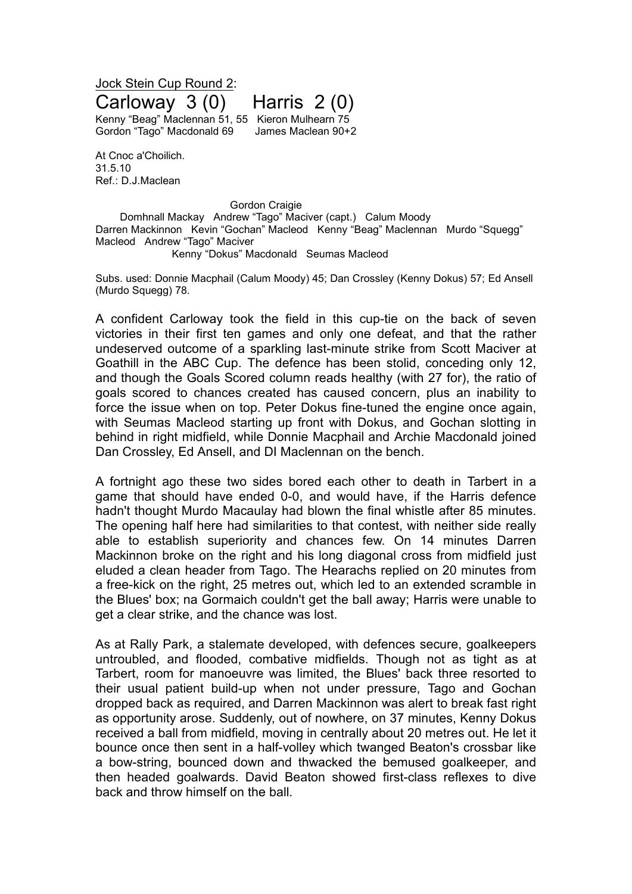## Jock Stein Cup Round 2: Carloway 3 (0) Harris 2 (0) Kenny "Beag" Maclennan 51, 55 Kieron Mulhearn 75 Gordon "Tago" Macdonald 69 James Maclean 90+2

At Cnoc a'Choilich. 31.5.10 Ref.: D.J.Maclean

Gordon Craigie

Domhnall Mackay Andrew "Tago" Maciver (capt.) Calum Moody Darren Mackinnon Kevin "Gochan" Macleod Kenny "Beag" Maclennan Murdo "Squegg" Macleod Andrew "Tago" Maciver

Kenny "Dokus" Macdonald Seumas Macleod

Subs. used: Donnie Macphail (Calum Moody) 45; Dan Crossley (Kenny Dokus) 57; Ed Ansell (Murdo Squegg) 78.

A confident Carloway took the field in this cup-tie on the back of seven victories in their first ten games and only one defeat, and that the rather undeserved outcome of a sparkling last-minute strike from Scott Maciver at Goathill in the ABC Cup. The defence has been stolid, conceding only 12, and though the Goals Scored column reads healthy (with 27 for), the ratio of goals scored to chances created has caused concern, plus an inability to force the issue when on top. Peter Dokus fine-tuned the engine once again, with Seumas Macleod starting up front with Dokus, and Gochan slotting in behind in right midfield, while Donnie Macphail and Archie Macdonald joined Dan Crossley, Ed Ansell, and DI Maclennan on the bench.

A fortnight ago these two sides bored each other to death in Tarbert in a game that should have ended 0-0, and would have, if the Harris defence hadn't thought Murdo Macaulay had blown the final whistle after 85 minutes. The opening half here had similarities to that contest, with neither side really able to establish superiority and chances few. On 14 minutes Darren Mackinnon broke on the right and his long diagonal cross from midfield just eluded a clean header from Tago. The Hearachs replied on 20 minutes from a free-kick on the right, 25 metres out, which led to an extended scramble in the Blues' box; na Gormaich couldn't get the ball away; Harris were unable to get a clear strike, and the chance was lost.

As at Rally Park, a stalemate developed, with defences secure, goalkeepers untroubled, and flooded, combative midfields. Though not as tight as at Tarbert, room for manoeuvre was limited, the Blues' back three resorted to their usual patient build-up when not under pressure, Tago and Gochan dropped back as required, and Darren Mackinnon was alert to break fast right as opportunity arose. Suddenly, out of nowhere, on 37 minutes, Kenny Dokus received a ball from midfield, moving in centrally about 20 metres out. He let it bounce once then sent in a half-volley which twanged Beaton's crossbar like a bow-string, bounced down and thwacked the bemused goalkeeper, and then headed goalwards. David Beaton showed first-class reflexes to dive back and throw himself on the ball.